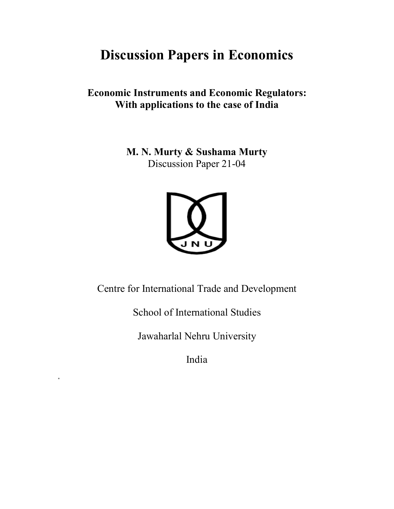# **Discussion Papers in Economics**

**Economic Instruments and Economic Regulators: With applications to the case of India**

> **M. N. Murty & Sushama Murty** Discussion Paper 21-04



Centre for International Trade and Development

School of International Studies

Jawaharlal Nehru University

India

\*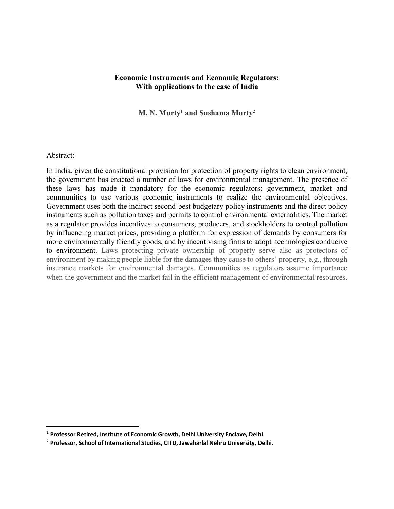## **Economic Instruments and Economic Regulators: With applications to the case of India**

**M. N. Murty1 and Sushama Murty2**

## Abstract:

In India, given the constitutional provision for protection of property rights to clean environment, the government has enacted a number of laws for environmental management. The presence of these laws has made it mandatory for the economic regulators: government, market and communities to use various economic instruments to realize the environmental objectives. Government uses both the indirect second-best budgetary policy instruments and the direct policy instruments such as pollution taxes and permits to control environmental externalities. The market as a regulator provides incentives to consumers, producers, and stockholders to control pollution by influencing market prices, providing a platform for expression of demands by consumers for more environmentally friendly goods, and by incentivising firms to adopt technologies conducive to environment. Laws protecting private ownership of property serve also as protectors of environment by making people liable for the damages they cause to others' property, e.g., through insurance markets for environmental damages. Communities as regulators assume importance when the government and the market fail in the efficient management of environmental resources.

 <sup>1</sup> **Professor Retired, Institute of Economic Growth, Delhi University Enclave, Delhi** 

<sup>2</sup> **Professor, School of International Studies, CITD, Jawaharlal Nehru University, Delhi.**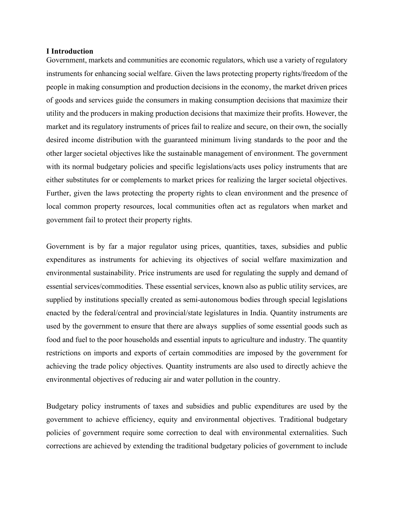#### **I Introduction**

Government, markets and communities are economic regulators, which use a variety of regulatory instruments for enhancing social welfare. Given the laws protecting property rights/freedom of the people in making consumption and production decisions in the economy, the market driven prices of goods and services guide the consumers in making consumption decisions that maximize their utility and the producers in making production decisions that maximize their profits. However, the market and its regulatory instruments of prices fail to realize and secure, on their own, the socially desired income distribution with the guaranteed minimum living standards to the poor and the other larger societal objectives like the sustainable management of environment. The government with its normal budgetary policies and specific legislations/acts uses policy instruments that are either substitutes for or complements to market prices for realizing the larger societal objectives. Further, given the laws protecting the property rights to clean environment and the presence of local common property resources, local communities often act as regulators when market and government fail to protect their property rights.

Government is by far a major regulator using prices, quantities, taxes, subsidies and public expenditures as instruments for achieving its objectives of social welfare maximization and environmental sustainability. Price instruments are used for regulating the supply and demand of essential services/commodities. These essential services, known also as public utility services, are supplied by institutions specially created as semi-autonomous bodies through special legislations enacted by the federal/central and provincial/state legislatures in India. Quantity instruments are used by the government to ensure that there are always supplies of some essential goods such as food and fuel to the poor households and essential inputs to agriculture and industry. The quantity restrictions on imports and exports of certain commodities are imposed by the government for achieving the trade policy objectives. Quantity instruments are also used to directly achieve the environmental objectives of reducing air and water pollution in the country.

Budgetary policy instruments of taxes and subsidies and public expenditures are used by the government to achieve efficiency, equity and environmental objectives. Traditional budgetary policies of government require some correction to deal with environmental externalities. Such corrections are achieved by extending the traditional budgetary policies of government to include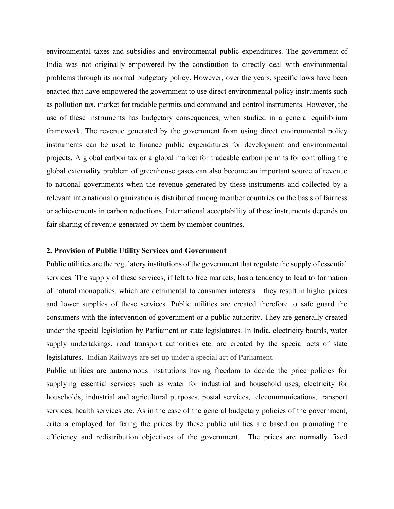environmental taxes and subsidies and environmental public expenditures. The government of India was not originally empowered by the constitution to directly deal with environmental problems through its normal budgetary policy. However, over the years, specific laws have been enacted that have empowered the government to use direct environmental policy instruments such as pollution tax, market for tradable permits and command and control instruments. However, the use of these instruments has budgetary consequences, when studied in a general equilibrium framework. The revenue generated by the government from using direct environmental policy instruments can be used to finance public expenditures for development and environmental projects. A global carbon tax or a global market for tradeable carbon permits for controlling the global externality problem of greenhouse gases can also become an important source of revenue to national governments when the revenue generated by these instruments and collected by a relevant international organization is distributed among member countries on the basis of fairness or achievements in carbon reductions. International acceptability of these instruments depends on fair sharing of revenue generated by them by member countries.

## **2. Provision of Public Utility Services and Government**

Public utilities are the regulatory institutions of the government that regulate the supply of essential services. The supply of these services, if left to free markets, has a tendency to lead to formation of natural monopolies, which are detrimental to consumer interests – they result in higher prices and lower supplies of these services. Public utilities are created therefore to safe guard the consumers with the intervention of government or a public authority. They are generally created under the special legislation by Parliament or state legislatures. In India, electricity boards, water supply undertakings, road transport authorities etc. are created by the special acts of state legislatures. Indian Railways are set up under a special act of Parliament.

Public utilities are autonomous institutions having freedom to decide the price policies for supplying essential services such as water for industrial and household uses, electricity for households, industrial and agricultural purposes, postal services, telecommunications, transport services, health services etc. As in the case of the general budgetary policies of the government, criteria employed for fixing the prices by these public utilities are based on promoting the efficiency and redistribution objectives of the government. The prices are normally fixed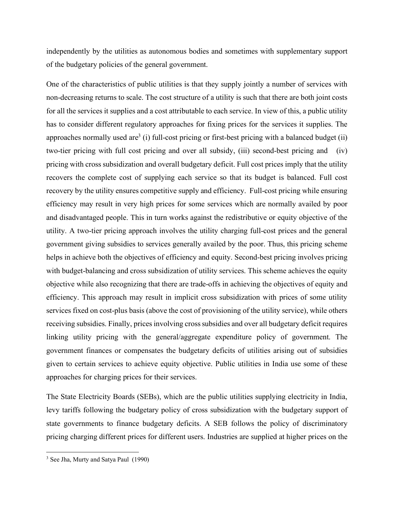independently by the utilities as autonomous bodies and sometimes with supplementary support of the budgetary policies of the general government.

One of the characteristics of public utilities is that they supply jointly a number of services with non-decreasing returns to scale. The cost structure of a utility is such that there are both joint costs for all the services it supplies and a cost attributable to each service. In view of this, a public utility has to consider different regulatory approaches for fixing prices for the services it supplies. The approaches normally used are<sup>3</sup> (i) full-cost pricing or first-best pricing with a balanced budget (ii) two-tier pricing with full cost pricing and over all subsidy, (iii) second-best pricing and (iv) pricing with cross subsidization and overall budgetary deficit. Full cost prices imply that the utility recovers the complete cost of supplying each service so that its budget is balanced. Full cost recovery by the utility ensures competitive supply and efficiency. Full-cost pricing while ensuring efficiency may result in very high prices for some services which are normally availed by poor and disadvantaged people. This in turn works against the redistributive or equity objective of the utility. A two-tier pricing approach involves the utility charging full-cost prices and the general government giving subsidies to services generally availed by the poor. Thus, this pricing scheme helps in achieve both the objectives of efficiency and equity. Second-best pricing involves pricing with budget-balancing and cross subsidization of utility services. This scheme achieves the equity objective while also recognizing that there are trade-offs in achieving the objectives of equity and efficiency. This approach may result in implicit cross subsidization with prices of some utility services fixed on cost-plus basis (above the cost of provisioning of the utility service), while others receiving subsidies. Finally, prices involving cross subsidies and over all budgetary deficit requires linking utility pricing with the general/aggregate expenditure policy of government. The government finances or compensates the budgetary deficits of utilities arising out of subsidies given to certain services to achieve equity objective. Public utilities in India use some of these approaches for charging prices for their services.

The State Electricity Boards (SEBs), which are the public utilities supplying electricity in India, levy tariffs following the budgetary policy of cross subsidization with the budgetary support of state governments to finance budgetary deficits. A SEB follows the policy of discriminatory pricing charging different prices for different users. Industries are supplied at higher prices on the

<sup>&</sup>lt;sup>3</sup> See Jha, Murty and Satya Paul (1990)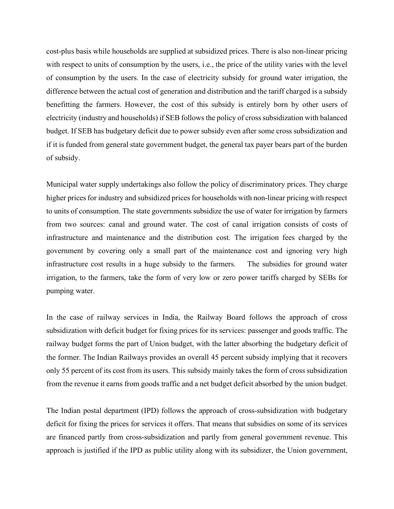cost-plus basis while households are supplied at subsidized prices. There is also non-linear pricing with respect to units of consumption by the users, i.e., the price of the utility varies with the level of consumption by the users. In the case of electricity subsidy for ground water irrigation, the difference between the actual cost of generation and distribution and the tariff charged is a subsidy benefitting the farmers. However, the cost of this subsidy is entirely born by other users of electricity (industry and households) if SEB follows the policy of cross subsidization with balanced budget. If SEB has budgetary deficit due to power subsidy even after some cross subsidization and if it is funded from general state government budget, the general tax payer bears part of the burden of subsidy.

Municipal water supply undertakings also follow the policy of discriminatory prices. They charge higher prices for industry and subsidized prices for households with non-linear pricing with respect to units of consumption. The state governments subsidize the use of water for irrigation by farmers from two sources: canal and ground water. The cost of canal irrigation consists of costs of infrastructure and maintenance and the distribution cost. The irrigation fees charged by the government by covering only a small part of the maintenance cost and ignoring very high infrastructure cost results in a huge subsidy to the farmers. The subsidies for ground water irrigation, to the farmers, take the form of very low or zero power tariffs charged by SEBs for pumping water.

In the case of railway services in India, the Railway Board follows the approach of cross subsidization with deficit budget for fixing prices for its services: passenger and goods traffic. The railway budget forms the part of Union budget, with the latter absorbing the budgetary deficit of the former. The Indian Railways provides an overall 45 percent subsidy implying that it recovers only 55 percent of its cost from its users. This subsidy mainly takes the form of cross subsidization from the revenue it earns from goods traffic and a net budget deficit absorbed by the union budget.

The Indian postal department (IPD) follows the approach of cross-subsidization with budgetary deficit for fixing the prices for services it offers. That means that subsidies on some of its services are financed partly from cross-subsidization and partly from general government revenue. This approach is justified if the IPD as public utility along with its subsidizer, the Union government,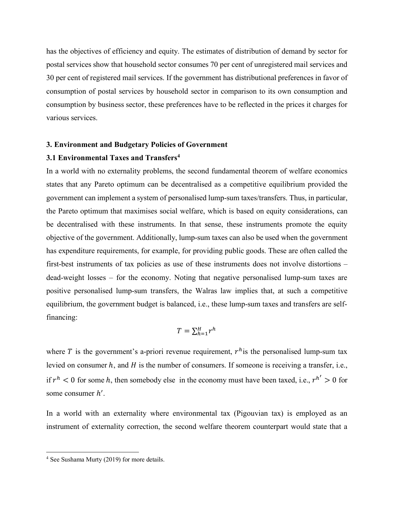has the objectives of efficiency and equity. The estimates of distribution of demand by sector for postal services show that household sector consumes 70 per cent of unregistered mail services and 30 per cent of registered mail services. If the government has distributional preferences in favor of consumption of postal services by household sector in comparison to its own consumption and consumption by business sector, these preferences have to be reflected in the prices it charges for various services.

#### **3. Environment and Budgetary Policies of Government**

## **3.1 Environmental Taxes and Transfers4**

In a world with no externality problems, the second fundamental theorem of welfare economics states that any Pareto optimum can be decentralised as a competitive equilibrium provided the government can implement a system of personalised lump-sum taxes/transfers. Thus, in particular, the Pareto optimum that maximises social welfare, which is based on equity considerations, can be decentralised with these instruments. In that sense, these instruments promote the equity objective of the government. Additionally, lump-sum taxes can also be used when the government has expenditure requirements, for example, for providing public goods. These are often called the first-best instruments of tax policies as use of these instruments does not involve distortions – dead-weight losses – for the economy. Noting that negative personalised lump-sum taxes are positive personalised lump-sum transfers, the Walras law implies that, at such a competitive equilibrium, the government budget is balanced, i.e., these lump-sum taxes and transfers are selffinancing:

$$
T = \sum_{h=1}^{H} r^h
$$

where T is the government's a-priori revenue requirement,  $r<sup>h</sup>$  is the personalised lump-sum tax levied on consumer  $h$ , and  $H$  is the number of consumers. If someone is receiving a transfer, i.e., if  $r^h$  < 0 for some h, then somebody else in the economy must have been taxed, i.e.,  $r^{h'} > 0$  for some consumer  $h'$ .

In a world with an externality where environmental tax (Pigouvian tax) is employed as an instrument of externality correction, the second welfare theorem counterpart would state that a

<sup>4</sup> See Sushama Murty (2019) for more details.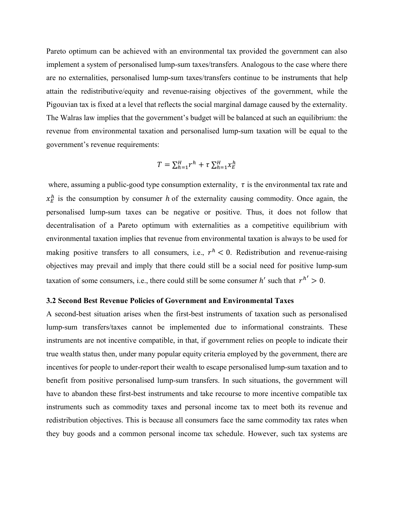Pareto optimum can be achieved with an environmental tax provided the government can also implement a system of personalised lump-sum taxes/transfers. Analogous to the case where there are no externalities, personalised lump-sum taxes/transfers continue to be instruments that help attain the redistributive/equity and revenue-raising objectives of the government, while the Pigouvian tax is fixed at a level that reflects the social marginal damage caused by the externality. The Walras law implies that the government's budget will be balanced at such an equilibrium: the revenue from environmental taxation and personalised lump-sum taxation will be equal to the government's revenue requirements:

$$
T = \sum_{h=1}^{H} r^h + \tau \sum_{h=1}^{H} x_E^h
$$

where, assuming a public-good type consumption externality,  $\tau$  is the environmental tax rate and  $x_E^h$  is the consumption by consumer h of the externality causing commodity. Once again, the personalised lump-sum taxes can be negative or positive. Thus, it does not follow that decentralisation of a Pareto optimum with externalities as a competitive equilibrium with environmental taxation implies that revenue from environmental taxation is always to be used for making positive transfers to all consumers, i.e.,  $r^h < 0$ . Redistribution and revenue-raising objectives may prevail and imply that there could still be a social need for positive lump-sum taxation of some consumers, i.e., there could still be some consumer  $h'$  such that  $r^{h'} > 0$ .

## **3.2 Second Best Revenue Policies of Government and Environmental Taxes**

A second-best situation arises when the first-best instruments of taxation such as personalised lump-sum transfers/taxes cannot be implemented due to informational constraints. These instruments are not incentive compatible, in that, if government relies on people to indicate their true wealth status then, under many popular equity criteria employed by the government, there are incentives for people to under-report their wealth to escape personalised lump-sum taxation and to benefit from positive personalised lump-sum transfers. In such situations, the government will have to abandon these first-best instruments and take recourse to more incentive compatible tax instruments such as commodity taxes and personal income tax to meet both its revenue and redistribution objectives. This is because all consumers face the same commodity tax rates when they buy goods and a common personal income tax schedule. However, such tax systems are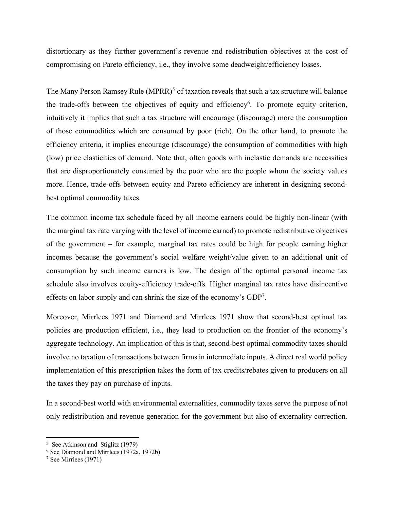distortionary as they further government's revenue and redistribution objectives at the cost of compromising on Pareto efficiency, i.e., they involve some deadweight/efficiency losses.

The Many Person Ramsey Rule (MPRR)<sup>5</sup> of taxation reveals that such a tax structure will balance the trade-offs between the objectives of equity and efficiency<sup>6</sup>. To promote equity criterion, intuitively it implies that such a tax structure will encourage (discourage) more the consumption of those commodities which are consumed by poor (rich). On the other hand, to promote the efficiency criteria, it implies encourage (discourage) the consumption of commodities with high (low) price elasticities of demand. Note that, often goods with inelastic demands are necessities that are disproportionately consumed by the poor who are the people whom the society values more. Hence, trade-offs between equity and Pareto efficiency are inherent in designing secondbest optimal commodity taxes.

The common income tax schedule faced by all income earners could be highly non-linear (with the marginal tax rate varying with the level of income earned) to promote redistributive objectives of the government – for example, marginal tax rates could be high for people earning higher incomes because the government's social welfare weight/value given to an additional unit of consumption by such income earners is low. The design of the optimal personal income tax schedule also involves equity-efficiency trade-offs. Higher marginal tax rates have disincentive effects on labor supply and can shrink the size of the economy's GDP7 .

Moreover, Mirrlees 1971 and Diamond and Mirrlees 1971 show that second-best optimal tax policies are production efficient, i.e., they lead to production on the frontier of the economy's aggregate technology. An implication of this is that, second-best optimal commodity taxes should involve no taxation of transactions between firms in intermediate inputs. A direct real world policy implementation of this prescription takes the form of tax credits/rebates given to producers on all the taxes they pay on purchase of inputs.

In a second-best world with environmental externalities, commodity taxes serve the purpose of not only redistribution and revenue generation for the government but also of externality correction.

 $\overline{a}$ 

<sup>&</sup>lt;sup>5</sup> See Atkinson and Stiglitz (1979)

<sup>6</sup> See Diamond and Mirrlees (1972a, 1972b)

<sup>7</sup> See Mirrlees (1971)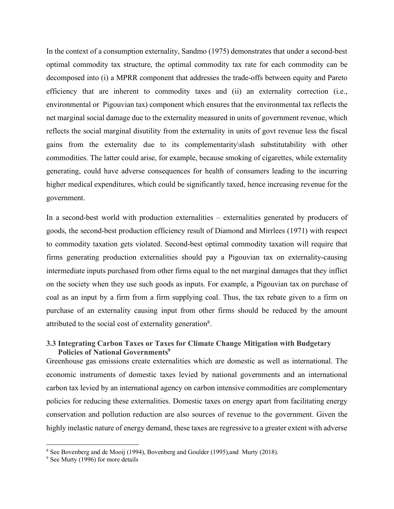In the context of a consumption externality, Sandmo (1975) demonstrates that under a second-best optimal commodity tax structure, the optimal commodity tax rate for each commodity can be decomposed into (i) a MPRR component that addresses the trade-offs between equity and Pareto efficiency that are inherent to commodity taxes and (ii) an externality correction (i.e., environmental or Pigouvian tax) component which ensures that the environmental tax reflects the net marginal social damage due to the externality measured in units of government revenue, which reflects the social marginal disutility from the externality in units of govt revenue less the fiscal gains from the externality due to its complementarity\slash substitutability with other commodities. The latter could arise, for example, because smoking of cigarettes, while externality generating, could have adverse consequences for health of consumers leading to the incurring higher medical expenditures, which could be significantly taxed, hence increasing revenue for the government.

In a second-best world with production externalities – externalities generated by producers of goods, the second-best production efficiency result of Diamond and Mirrlees (1971) with respect to commodity taxation gets violated. Second-best optimal commodity taxation will require that firms generating production externalities should pay a Pigouvian tax on externality-causing intermediate inputs purchased from other firms equal to the net marginal damages that they inflict on the society when they use such goods as inputs. For example, a Pigouvian tax on purchase of coal as an input by a firm from a firm supplying coal. Thus, the tax rebate given to a firm on purchase of an externality causing input from other firms should be reduced by the amount attributed to the social cost of externality generation8.

# **3.3 Integrating Carbon Taxes or Taxes for Climate Change Mitigation with Budgetary Policies of National Governments**<sup>9</sup>

Greenhouse gas emissions create externalities which are domestic as well as international. The economic instruments of domestic taxes levied by national governments and an international carbon tax levied by an international agency on carbon intensive commodities are complementary policies for reducing these externalities. Domestic taxes on energy apart from facilitating energy conservation and pollution reduction are also sources of revenue to the government. Given the highly inelastic nature of energy demand, these taxes are regressive to a greater extent with adverse

 $\overline{\phantom{a}}$ 

<sup>8</sup> See Bovenberg and de Mooij (1994), Bovenberg and Goulder (1995),and Murty (2018).

<sup>&</sup>lt;sup>9</sup> See Murty (1996) for more details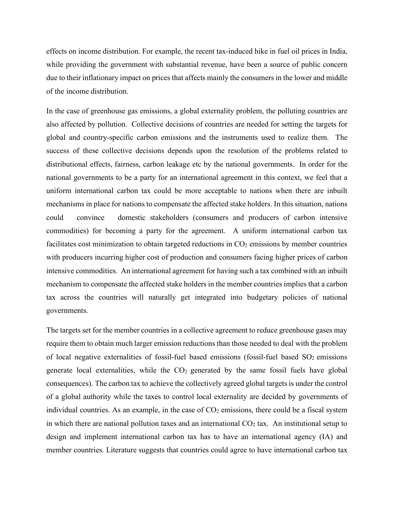effects on income distribution. For example, the recent tax-induced hike in fuel oil prices in India, while providing the government with substantial revenue, have been a source of public concern due to their inflationary impact on prices that affects mainly the consumers in the lower and middle of the income distribution.

In the case of greenhouse gas emissions, a global externality problem, the polluting countries are also affected by pollution. Collective decisions of countries are needed for setting the targets for global and country-specific carbon emissions and the instruments used to realize them. The success of these collective decisions depends upon the resolution of the problems related to distributional effects, fairness, carbon leakage etc by the national governments. In order for the national governments to be a party for an international agreement in this context, we feel that a uniform international carbon tax could be more acceptable to nations when there are inbuilt mechanisms in place for nations to compensate the affected stake holders. In this situation, nations could convince domestic stakeholders (consumers and producers of carbon intensive commodities) for becoming a party for the agreement. A uniform international carbon tax facilitates cost minimization to obtain targeted reductions in  $CO<sub>2</sub>$  emissions by member countries with producers incurring higher cost of production and consumers facing higher prices of carbon intensive commodities. An international agreement for having such a tax combined with an inbuilt mechanism to compensate the affected stake holders in the member countries implies that a carbon tax across the countries will naturally get integrated into budgetary policies of national governments.

The targets set for the member countries in a collective agreement to reduce greenhouse gases may require them to obtain much larger emission reductions than those needed to deal with the problem of local negative externalities of fossil-fuel based emissions (fossil-fuel based  $SO<sub>2</sub>$  emissions generate local externalities, while the  $CO<sub>2</sub>$  generated by the same fossil fuels have global consequences). The carbon tax to achieve the collectively agreed global targets is under the control of a global authority while the taxes to control local externality are decided by governments of individual countries. As an example, in the case of  $CO<sub>2</sub>$  emissions, there could be a fiscal system in which there are national pollution taxes and an international  $CO<sub>2</sub>$  tax. An institutional setup to design and implement international carbon tax has to have an international agency (IA) and member countries. Literature suggests that countries could agree to have international carbon tax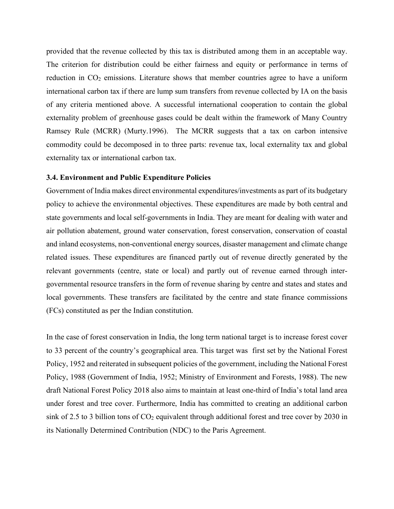provided that the revenue collected by this tax is distributed among them in an acceptable way. The criterion for distribution could be either fairness and equity or performance in terms of reduction in  $CO<sub>2</sub>$  emissions. Literature shows that member countries agree to have a uniform international carbon tax if there are lump sum transfers from revenue collected by IA on the basis of any criteria mentioned above. A successful international cooperation to contain the global externality problem of greenhouse gases could be dealt within the framework of Many Country Ramsey Rule (MCRR) (Murty.1996). The MCRR suggests that a tax on carbon intensive commodity could be decomposed in to three parts: revenue tax, local externality tax and global externality tax or international carbon tax.

#### **3.4. Environment and Public Expenditure Policies**

Government of India makes direct environmental expenditures/investments as part of its budgetary policy to achieve the environmental objectives. These expenditures are made by both central and state governments and local self-governments in India. They are meant for dealing with water and air pollution abatement, ground water conservation, forest conservation, conservation of coastal and inland ecosystems, non-conventional energy sources, disaster management and climate change related issues. These expenditures are financed partly out of revenue directly generated by the relevant governments (centre, state or local) and partly out of revenue earned through intergovernmental resource transfers in the form of revenue sharing by centre and states and states and local governments. These transfers are facilitated by the centre and state finance commissions (FCs) constituted as per the Indian constitution.

In the case of forest conservation in India, the long term national target is to increase forest cover to 33 percent of the country's geographical area. This target was first set by the National Forest Policy, 1952 and reiterated in subsequent policies of the government, including the National Forest Policy, 1988 (Government of India, 1952; Ministry of Environment and Forests, 1988). The new draft National Forest Policy 2018 also aims to maintain at least one-third of India's total land area under forest and tree cover. Furthermore, India has committed to creating an additional carbon sink of 2.5 to 3 billion tons of  $CO<sub>2</sub>$  equivalent through additional forest and tree cover by 2030 in its Nationally Determined Contribution (NDC) to the Paris Agreement.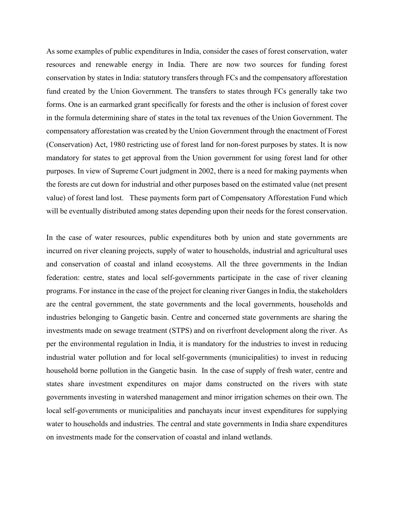As some examples of public expenditures in India, consider the cases of forest conservation, water resources and renewable energy in India. There are now two sources for funding forest conservation by states in India: statutory transfers through FCs and the compensatory afforestation fund created by the Union Government. The transfers to states through FCs generally take two forms. One is an earmarked grant specifically for forests and the other is inclusion of forest cover in the formula determining share of states in the total tax revenues of the Union Government. The compensatory afforestation was created by the Union Government through the enactment of Forest (Conservation) Act, 1980 restricting use of forest land for non-forest purposes by states. It is now mandatory for states to get approval from the Union government for using forest land for other purposes. In view of Supreme Court judgment in 2002, there is a need for making payments when the forests are cut down for industrial and other purposes based on the estimated value (net present value) of forest land lost. These payments form part of Compensatory Afforestation Fund which will be eventually distributed among states depending upon their needs for the forest conservation.

In the case of water resources, public expenditures both by union and state governments are incurred on river cleaning projects, supply of water to households, industrial and agricultural uses and conservation of coastal and inland ecosystems. All the three governments in the Indian federation: centre, states and local self-governments participate in the case of river cleaning programs. For instance in the case of the project for cleaning river Ganges in India, the stakeholders are the central government, the state governments and the local governments, households and industries belonging to Gangetic basin. Centre and concerned state governments are sharing the investments made on sewage treatment (STPS) and on riverfront development along the river. As per the environmental regulation in India, it is mandatory for the industries to invest in reducing industrial water pollution and for local self-governments (municipalities) to invest in reducing household borne pollution in the Gangetic basin. In the case of supply of fresh water, centre and states share investment expenditures on major dams constructed on the rivers with state governments investing in watershed management and minor irrigation schemes on their own. The local self-governments or municipalities and panchayats incur invest expenditures for supplying water to households and industries. The central and state governments in India share expenditures on investments made for the conservation of coastal and inland wetlands.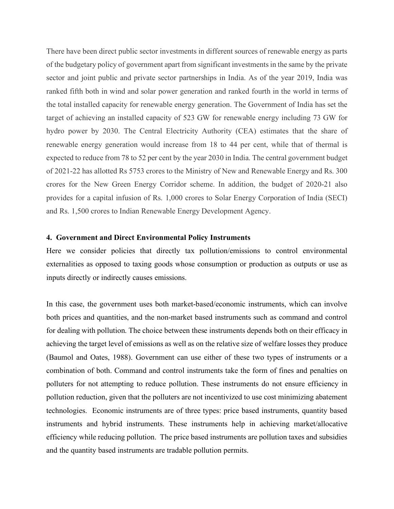There have been direct public sector investments in different sources of renewable energy as parts of the budgetary policy of government apart from significant investments in the same by the private sector and joint public and private sector partnerships in India. As of the year 2019, India was ranked fifth both in wind and solar power generation and ranked fourth in the world in terms of the total installed capacity for renewable energy generation. The Government of India has set the target of achieving an installed capacity of 523 GW for renewable energy including 73 GW for hydro power by 2030. The Central Electricity Authority (CEA) estimates that the share of renewable energy generation would increase from 18 to 44 per cent, while that of thermal is expected to reduce from 78 to 52 per cent by the year 2030 in India. The central government budget of 2021-22 has allotted Rs 5753 crores to the Ministry of New and Renewable Energy and Rs. 300 crores for the New Green Energy Corridor scheme. In addition, the budget of 2020-21 also provides for a capital infusion of Rs. 1,000 crores to Solar Energy Corporation of India (SECI) and Rs. 1,500 crores to Indian Renewable Energy Development Agency.

#### **4. Government and Direct Environmental Policy Instruments**

Here we consider policies that directly tax pollution/emissions to control environmental externalities as opposed to taxing goods whose consumption or production as outputs or use as inputs directly or indirectly causes emissions.

In this case, the government uses both market-based/economic instruments, which can involve both prices and quantities, and the non-market based instruments such as command and control for dealing with pollution. The choice between these instruments depends both on their efficacy in achieving the target level of emissions as well as on the relative size of welfare losses they produce (Baumol and Oates, 1988). Government can use either of these two types of instruments or a combination of both. Command and control instruments take the form of fines and penalties on polluters for not attempting to reduce pollution. These instruments do not ensure efficiency in pollution reduction, given that the polluters are not incentivized to use cost minimizing abatement technologies. Economic instruments are of three types: price based instruments, quantity based instruments and hybrid instruments. These instruments help in achieving market/allocative efficiency while reducing pollution. The price based instruments are pollution taxes and subsidies and the quantity based instruments are tradable pollution permits.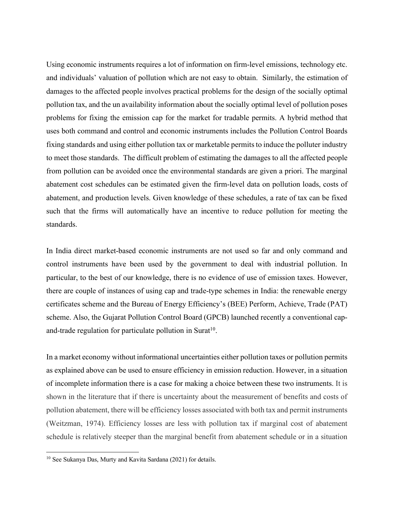Using economic instruments requires a lot of information on firm-level emissions, technology etc. and individuals' valuation of pollution which are not easy to obtain. Similarly, the estimation of damages to the affected people involves practical problems for the design of the socially optimal pollution tax, and the un availability information about the socially optimal level of pollution poses problems for fixing the emission cap for the market for tradable permits. A hybrid method that uses both command and control and economic instruments includes the Pollution Control Boards fixing standards and using either pollution tax or marketable permits to induce the polluter industry to meet those standards. The difficult problem of estimating the damages to all the affected people from pollution can be avoided once the environmental standards are given a priori. The marginal abatement cost schedules can be estimated given the firm-level data on pollution loads, costs of abatement, and production levels. Given knowledge of these schedules, a rate of tax can be fixed such that the firms will automatically have an incentive to reduce pollution for meeting the standards.

In India direct market-based economic instruments are not used so far and only command and control instruments have been used by the government to deal with industrial pollution. In particular, to the best of our knowledge, there is no evidence of use of emission taxes. However, there are couple of instances of using cap and trade-type schemes in India: the renewable energy certificates scheme and the Bureau of Energy Efficiency's (BEE) Perform, Achieve, Trade (PAT) scheme. Also, the Gujarat Pollution Control Board (GPCB) launched recently a conventional capand-trade regulation for particulate pollution in Surat<sup>10</sup>.

In a market economy without informational uncertainties either pollution taxes or pollution permits as explained above can be used to ensure efficiency in emission reduction. However, in a situation of incomplete information there is a case for making a choice between these two instruments. It is shown in the literature that if there is uncertainty about the measurement of benefits and costs of pollution abatement, there will be efficiency losses associated with both tax and permit instruments (Weitzman, 1974). Efficiency losses are less with pollution tax if marginal cost of abatement schedule is relatively steeper than the marginal benefit from abatement schedule or in a situation

<sup>10</sup> See Sukanya Das, Murty and Kavita Sardana (2021) for details.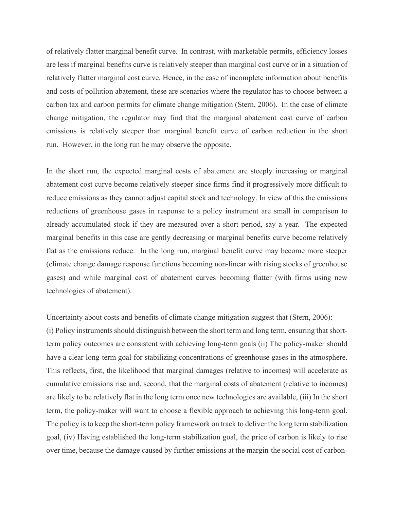of relatively flatter marginal benefit curve. In contrast, with marketable permits, efficiency losses are less if marginal benefits curve is relatively steeper than marginal cost curve or in a situation of relatively flatter marginal cost curve. Hence, in the case of incomplete information about benefits and costs of pollution abatement, these are scenarios where the regulator has to choose between a carbon tax and carbon permits for climate change mitigation (Stern, 2006). In the case of climate change mitigation, the regulator may find that the marginal abatement cost curve of carbon emissions is relatively steeper than marginal benefit curve of carbon reduction in the short run. However, in the long run he may observe the opposite.

In the short run, the expected marginal costs of abatement are steeply increasing or marginal abatement cost curve become relatively steeper since firms find it progressively more difficult to reduce emissions as they cannot adjust capital stock and technology. In view of this the emissions reductions of greenhouse gases in response to a policy instrument are small in comparison to already accumulated stock if they are measured over a short period, say a year. The expected marginal benefits in this case are gently decreasing or marginal benefits curve become relatively flat as the emissions reduce. In the long run, marginal benefit curve may become more steeper (climate change damage response functions becoming non-linear with rising stocks of greenhouse gases) and while marginal cost of abatement curves becoming flatter (with firms using new technologies of abatement).

Uncertainty about costs and benefits of climate change mitigation suggest that (Stern, 2006): (i) Policy instruments should distinguish between the short term and long term, ensuring that shortterm policy outcomes are consistent with achieving long-term goals (ii) The policy-maker should have a clear long-term goal for stabilizing concentrations of greenhouse gases in the atmosphere. This reflects, first, the likelihood that marginal damages (relative to incomes) will accelerate as cumulative emissions rise and, second, that the marginal costs of abatement (relative to incomes) are likely to be relatively flat in the long term once new technologies are available, (iii) In the short term, the policy-maker will want to choose a flexible approach to achieving this long-term goal. The policy is to keep the short-term policy framework on track to deliver the long term stabilization goal, (iv) Having established the long-term stabilization goal, the price of carbon is likely to rise over time, because the damage caused by further emissions at the margin-the social cost of carbon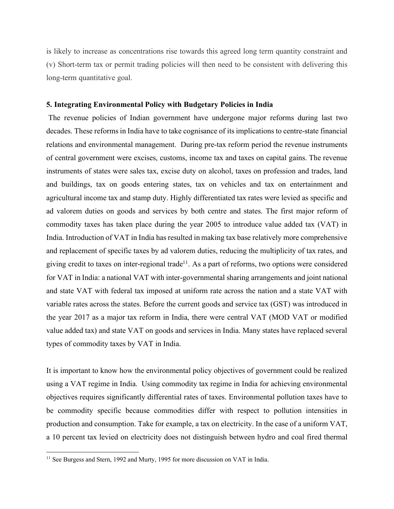is likely to increase as concentrations rise towards this agreed long term quantity constraint and (v) Short-term tax or permit trading policies will then need to be consistent with delivering this long-term quantitative goal.

#### **5. Integrating Environmental Policy with Budgetary Policies in India**

The revenue policies of Indian government have undergone major reforms during last two decades. These reforms in India have to take cognisance of its implications to centre-state financial relations and environmental management. During pre-tax reform period the revenue instruments of central government were excises, customs, income tax and taxes on capital gains. The revenue instruments of states were sales tax, excise duty on alcohol, taxes on profession and trades, land and buildings, tax on goods entering states, tax on vehicles and tax on entertainment and agricultural income tax and stamp duty. Highly differentiated tax rates were levied as specific and ad valorem duties on goods and services by both centre and states. The first major reform of commodity taxes has taken place during the year 2005 to introduce value added tax (VAT) in India. Introduction of VAT in India has resulted in making tax base relatively more comprehensive and replacement of specific taxes by ad valorem duties, reducing the multiplicity of tax rates, and giving credit to taxes on inter-regional trade<sup>11</sup>. As a part of reforms, two options were considered for VAT in India: a national VAT with inter-governmental sharing arrangements and joint national and state VAT with federal tax imposed at uniform rate across the nation and a state VAT with variable rates across the states. Before the current goods and service tax (GST) was introduced in the year 2017 as a major tax reform in India, there were central VAT (MOD VAT or modified value added tax) and state VAT on goods and services in India. Many states have replaced several types of commodity taxes by VAT in India.

It is important to know how the environmental policy objectives of government could be realized using a VAT regime in India. Using commodity tax regime in India for achieving environmental objectives requires significantly differential rates of taxes. Environmental pollution taxes have to be commodity specific because commodities differ with respect to pollution intensities in production and consumption. Take for example, a tax on electricity. In the case of a uniform VAT, a 10 percent tax levied on electricity does not distinguish between hydro and coal fired thermal

<sup>&</sup>lt;sup>11</sup> See Burgess and Stern, 1992 and Murty, 1995 for more discussion on VAT in India.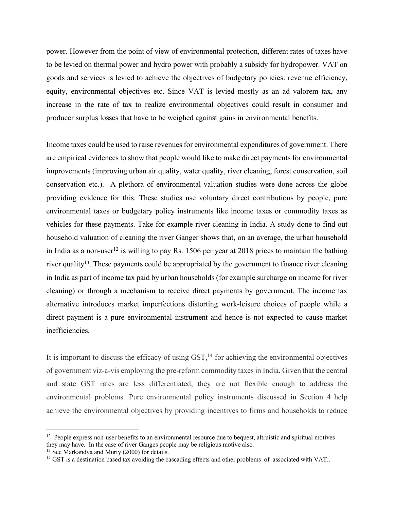power. However from the point of view of environmental protection, different rates of taxes have to be levied on thermal power and hydro power with probably a subsidy for hydropower. VAT on goods and services is levied to achieve the objectives of budgetary policies: revenue efficiency, equity, environmental objectives etc. Since VAT is levied mostly as an ad valorem tax, any increase in the rate of tax to realize environmental objectives could result in consumer and producer surplus losses that have to be weighed against gains in environmental benefits.

Income taxes could be used to raise revenues for environmental expenditures of government. There are empirical evidences to show that people would like to make direct payments for environmental improvements (improving urban air quality, water quality, river cleaning, forest conservation, soil conservation etc.). A plethora of environmental valuation studies were done across the globe providing evidence for this. These studies use voluntary direct contributions by people, pure environmental taxes or budgetary policy instruments like income taxes or commodity taxes as vehicles for these payments. Take for example river cleaning in India. A study done to find out household valuation of cleaning the river Ganger shows that, on an average, the urban household in India as a non-user<sup>12</sup> is willing to pay Rs. 1506 per year at 2018 prices to maintain the bathing river quality<sup>13</sup>. These payments could be appropriated by the government to finance river cleaning in India as part of income tax paid by urban households (for example surcharge on income for river cleaning) or through a mechanism to receive direct payments by government. The income tax alternative introduces market imperfections distorting work-leisure choices of people while a direct payment is a pure environmental instrument and hence is not expected to cause market inefficiencies.

It is important to discuss the efficacy of using  $\text{GST},^{14}$  for achieving the environmental objectives of government viz-a-vis employing the pre-reform commodity taxesin India. Given that the central and state GST rates are less differentiated, they are not flexible enough to address the environmental problems. Pure environmental policy instruments discussed in Section 4 help achieve the environmental objectives by providing incentives to firms and households to reduce

 $12$  People express non-user benefits to an environmental resource due to bequest, altruistic and spiritual motives they may have. In the case of river Ganges people may be religious motive also.

<sup>&</sup>lt;sup>13</sup> See Markandya and Murty (2000) for details.

<sup>&</sup>lt;sup>14</sup> GST is a destination based tax avoiding the cascading effects and other problems of associated with VAT..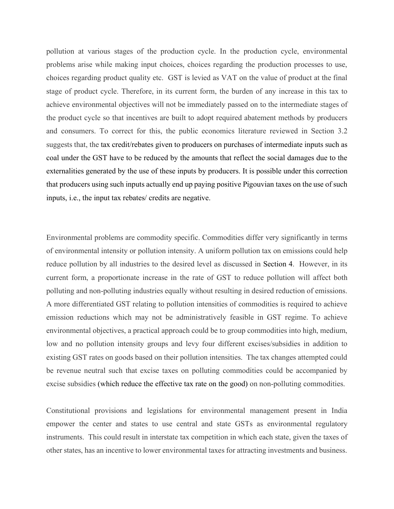pollution at various stages of the production cycle. In the production cycle, environmental problems arise while making input choices, choices regarding the production processes to use, choices regarding product quality etc. GST is levied as VAT on the value of product at the final stage of product cycle. Therefore, in its current form, the burden of any increase in this tax to achieve environmental objectives will not be immediately passed on to the intermediate stages of the product cycle so that incentives are built to adopt required abatement methods by producers and consumers. To correct for this, the public economics literature reviewed in Section 3.2 suggests that, the tax credit/rebates given to producers on purchases of intermediate inputs such as coal under the GST have to be reduced by the amounts that reflect the social damages due to the externalities generated by the use of these inputs by producers. It is possible under this correction that producers using such inputs actually end up paying positive Pigouvian taxes on the use of such inputs, i.e., the input tax rebates/ credits are negative.

Environmental problems are commodity specific. Commodities differ very significantly in terms of environmental intensity or pollution intensity. A uniform pollution tax on emissions could help reduce pollution by all industries to the desired level as discussed in Section 4. However, in its current form, a proportionate increase in the rate of GST to reduce pollution will affect both polluting and non-polluting industries equally without resulting in desired reduction of emissions. A more differentiated GST relating to pollution intensities of commodities is required to achieve emission reductions which may not be administratively feasible in GST regime. To achieve environmental objectives, a practical approach could be to group commodities into high, medium, low and no pollution intensity groups and levy four different excises/subsidies in addition to existing GST rates on goods based on their pollution intensities. The tax changes attempted could be revenue neutral such that excise taxes on polluting commodities could be accompanied by excise subsidies (which reduce the effective tax rate on the good) on non-polluting commodities.

Constitutional provisions and legislations for environmental management present in India empower the center and states to use central and state GSTs as environmental regulatory instruments. This could result in interstate tax competition in which each state, given the taxes of other states, has an incentive to lower environmental taxes for attracting investments and business.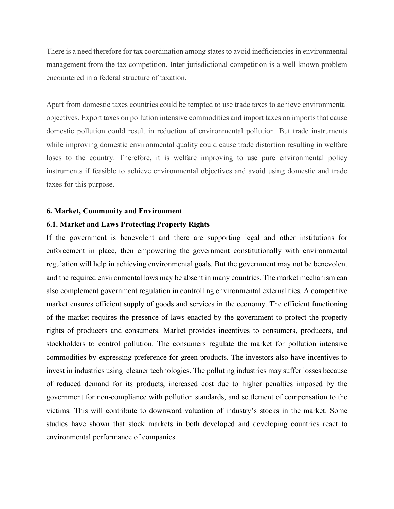There is a need therefore for tax coordination among states to avoid inefficiencies in environmental management from the tax competition. Inter-jurisdictional competition is a well-known problem encountered in a federal structure of taxation.

Apart from domestic taxes countries could be tempted to use trade taxes to achieve environmental objectives. Export taxes on pollution intensive commodities and import taxes on imports that cause domestic pollution could result in reduction of environmental pollution. But trade instruments while improving domestic environmental quality could cause trade distortion resulting in welfare loses to the country. Therefore, it is welfare improving to use pure environmental policy instruments if feasible to achieve environmental objectives and avoid using domestic and trade taxes for this purpose.

#### **6. Market, Community and Environment**

## **6.1. Market and Laws Protecting Property Rights**

If the government is benevolent and there are supporting legal and other institutions for enforcement in place, then empowering the government constitutionally with environmental regulation will help in achieving environmental goals. But the government may not be benevolent and the required environmental laws may be absent in many countries. The market mechanism can also complement government regulation in controlling environmental externalities. A competitive market ensures efficient supply of goods and services in the economy. The efficient functioning of the market requires the presence of laws enacted by the government to protect the property rights of producers and consumers. Market provides incentives to consumers, producers, and stockholders to control pollution. The consumers regulate the market for pollution intensive commodities by expressing preference for green products. The investors also have incentives to invest in industries using cleaner technologies. The polluting industries may suffer losses because of reduced demand for its products, increased cost due to higher penalties imposed by the government for non-compliance with pollution standards, and settlement of compensation to the victims. This will contribute to downward valuation of industry's stocks in the market. Some studies have shown that stock markets in both developed and developing countries react to environmental performance of companies.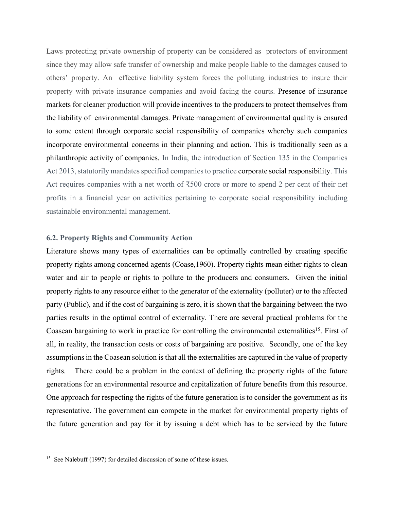Laws protecting private ownership of property can be considered as protectors of environment since they may allow safe transfer of ownership and make people liable to the damages caused to others' property. An effective liability system forces the polluting industries to insure their property with private insurance companies and avoid facing the courts. Presence of insurance markets for cleaner production will provide incentives to the producers to protect themselves from the liability of environmental damages. Private management of environmental quality is ensured to some extent through corporate social responsibility of companies whereby such companies incorporate environmental concerns in their planning and action. This is traditionally seen as a philanthropic activity of companies. In India, the introduction of Section 135 in the Companies Act 2013, statutorily mandates specified companies to practice corporate social responsibility. This Act requires companies with a net worth of ₹500 crore or more to spend 2 per cent of their net profits in a financial year on activities pertaining to corporate social responsibility including sustainable environmental management.

## **6.2. Property Rights and Community Action**

Literature shows many types of externalities can be optimally controlled by creating specific property rights among concerned agents (Coase,1960). Property rights mean either rights to clean water and air to people or rights to pollute to the producers and consumers. Given the initial property rights to any resource either to the generator of the externality (polluter) or to the affected party (Public), and if the cost of bargaining is zero, it is shown that the bargaining between the two parties results in the optimal control of externality. There are several practical problems for the Coasean bargaining to work in practice for controlling the environmental externalities<sup>15</sup>. First of all, in reality, the transaction costs or costs of bargaining are positive. Secondly, one of the key assumptions in the Coasean solution is that all the externalities are captured in the value of property rights. There could be a problem in the context of defining the property rights of the future generations for an environmental resource and capitalization of future benefits from this resource. One approach for respecting the rights of the future generation is to consider the government as its representative. The government can compete in the market for environmental property rights of the future generation and pay for it by issuing a debt which has to be serviced by the future

<sup>&</sup>lt;sup>15</sup> See Nalebuff (1997) for detailed discussion of some of these issues.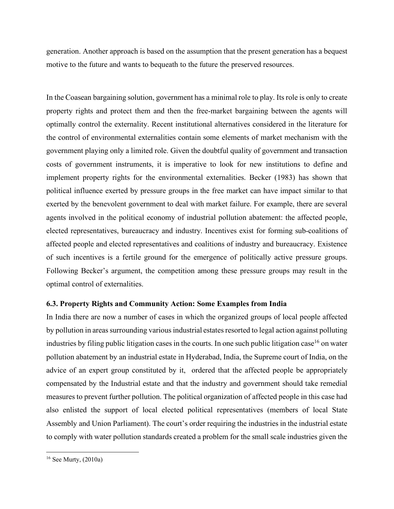generation. Another approach is based on the assumption that the present generation has a bequest motive to the future and wants to bequeath to the future the preserved resources.

In the Coasean bargaining solution, government has a minimal role to play. Its role is only to create property rights and protect them and then the free-market bargaining between the agents will optimally control the externality. Recent institutional alternatives considered in the literature for the control of environmental externalities contain some elements of market mechanism with the government playing only a limited role. Given the doubtful quality of government and transaction costs of government instruments, it is imperative to look for new institutions to define and implement property rights for the environmental externalities. Becker (1983) has shown that political influence exerted by pressure groups in the free market can have impact similar to that exerted by the benevolent government to deal with market failure. For example, there are several agents involved in the political economy of industrial pollution abatement: the affected people, elected representatives, bureaucracy and industry. Incentives exist for forming sub-coalitions of affected people and elected representatives and coalitions of industry and bureaucracy. Existence of such incentives is a fertile ground for the emergence of politically active pressure groups. Following Becker's argument, the competition among these pressure groups may result in the optimal control of externalities.

# **6.3. Property Rights and Community Action: Some Examples from India**

In India there are now a number of cases in which the organized groups of local people affected by pollution in areas surrounding various industrial estates resorted to legal action against polluting industries by filing public litigation cases in the courts. In one such public litigation case<sup>16</sup> on water pollution abatement by an industrial estate in Hyderabad, India, the Supreme court of India, on the advice of an expert group constituted by it, ordered that the affected people be appropriately compensated by the Industrial estate and that the industry and government should take remedial measures to prevent further pollution. The political organization of affected people in this case had also enlisted the support of local elected political representatives (members of local State Assembly and Union Parliament). The court's order requiring the industries in the industrial estate to comply with water pollution standards created a problem for the small scale industries given the

<sup>16</sup> See Murty, (2010a)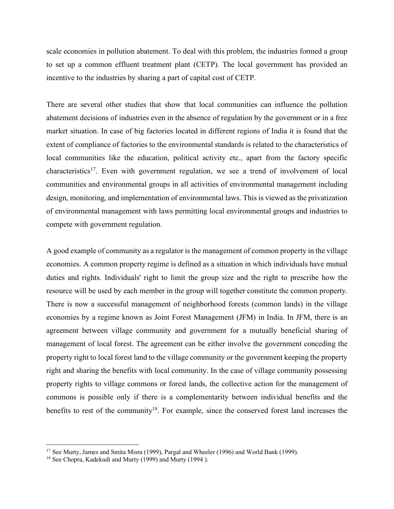scale economies in pollution abatement. To deal with this problem, the industries formed a group to set up a common effluent treatment plant (CETP). The local government has provided an incentive to the industries by sharing a part of capital cost of CETP.

There are several other studies that show that local communities can influence the pollution abatement decisions of industries even in the absence of regulation by the government or in a free market situation. In case of big factories located in different regions of India it is found that the extent of compliance of factories to the environmental standards is related to the characteristics of local communities like the education, political activity etc., apart from the factory specific characteristics17. Even with government regulation, we see a trend of involvement of local communities and environmental groups in all activities of environmental management including design, monitoring, and implementation of environmental laws. This is viewed as the privatization of environmental management with laws permitting local environmental groups and industries to compete with government regulation.

A good example of community as a regulator is the management of common property in the village economies. A common property regime is defined as a situation in which individuals have mutual duties and rights. Individuals' right to limit the group size and the right to prescribe how the resource will be used by each member in the group will together constitute the common property. There is now a successful management of neighborhood forests (common lands) in the village economies by a regime known as Joint Forest Management (JFM) in India. In JFM, there is an agreement between village community and government for a mutually beneficial sharing of management of local forest. The agreement can be either involve the government conceding the property right to local forest land to the village community or the government keeping the property right and sharing the benefits with local community. In the case of village community possessing property rights to village commons or forest lands, the collective action for the management of commons is possible only if there is a complementarity between individual benefits and the benefits to rest of the community<sup>18</sup>. For example, since the conserved forest land increases the

 $\overline{\phantom{a}}$ 

<sup>&</sup>lt;sup>17</sup> See Murty, James and Smita Misra (1999), Pargal and Wheeler (1996) and World Bank (1999).

<sup>18</sup> See Chopra, Kadekudi and Murty (1999) and Murty (1994 ).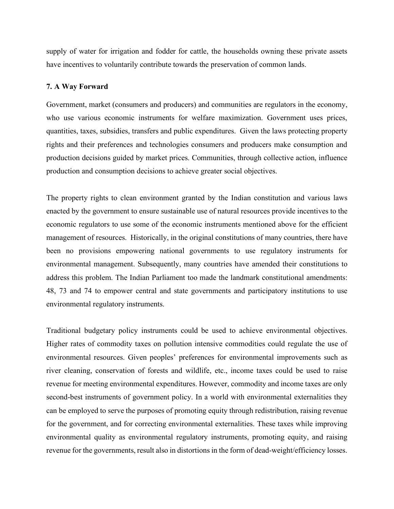supply of water for irrigation and fodder for cattle, the households owning these private assets have incentives to voluntarily contribute towards the preservation of common lands.

#### **7. A Way Forward**

Government, market (consumers and producers) and communities are regulators in the economy, who use various economic instruments for welfare maximization. Government uses prices, quantities, taxes, subsidies, transfers and public expenditures. Given the laws protecting property rights and their preferences and technologies consumers and producers make consumption and production decisions guided by market prices. Communities, through collective action, influence production and consumption decisions to achieve greater social objectives.

The property rights to clean environment granted by the Indian constitution and various laws enacted by the government to ensure sustainable use of natural resources provide incentives to the economic regulators to use some of the economic instruments mentioned above for the efficient management of resources. Historically, in the original constitutions of many countries, there have been no provisions empowering national governments to use regulatory instruments for environmental management. Subsequently, many countries have amended their constitutions to address this problem. The Indian Parliament too made the landmark constitutional amendments: 48, 73 and 74 to empower central and state governments and participatory institutions to use environmental regulatory instruments.

Traditional budgetary policy instruments could be used to achieve environmental objectives. Higher rates of commodity taxes on pollution intensive commodities could regulate the use of environmental resources. Given peoples' preferences for environmental improvements such as river cleaning, conservation of forests and wildlife, etc., income taxes could be used to raise revenue for meeting environmental expenditures. However, commodity and income taxes are only second-best instruments of government policy. In a world with environmental externalities they can be employed to serve the purposes of promoting equity through redistribution, raising revenue for the government, and for correcting environmental externalities. These taxes while improving environmental quality as environmental regulatory instruments, promoting equity, and raising revenue for the governments, result also in distortions in the form of dead-weight/efficiency losses.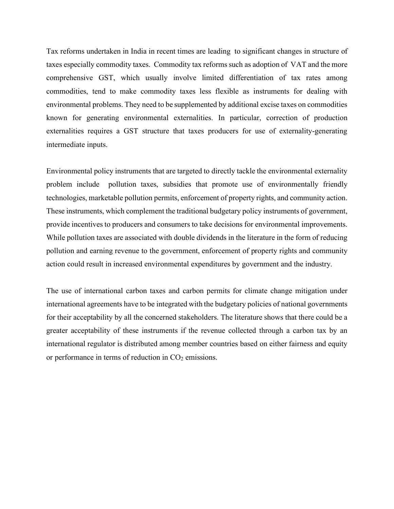Tax reforms undertaken in India in recent times are leading to significant changes in structure of taxes especially commodity taxes. Commodity tax reforms such as adoption of VAT and the more comprehensive GST, which usually involve limited differentiation of tax rates among commodities, tend to make commodity taxes less flexible as instruments for dealing with environmental problems. They need to be supplemented by additional excise taxes on commodities known for generating environmental externalities. In particular, correction of production externalities requires a GST structure that taxes producers for use of externality-generating intermediate inputs.

Environmental policy instruments that are targeted to directly tackle the environmental externality problem include pollution taxes, subsidies that promote use of environmentally friendly technologies, marketable pollution permits, enforcement of property rights, and community action. These instruments, which complement the traditional budgetary policy instruments of government, provide incentives to producers and consumers to take decisions for environmental improvements. While pollution taxes are associated with double dividends in the literature in the form of reducing pollution and earning revenue to the government, enforcement of property rights and community action could result in increased environmental expenditures by government and the industry.

The use of international carbon taxes and carbon permits for climate change mitigation under international agreements have to be integrated with the budgetary policies of national governments for their acceptability by all the concerned stakeholders. The literature shows that there could be a greater acceptability of these instruments if the revenue collected through a carbon tax by an international regulator is distributed among member countries based on either fairness and equity or performance in terms of reduction in  $CO<sub>2</sub>$  emissions.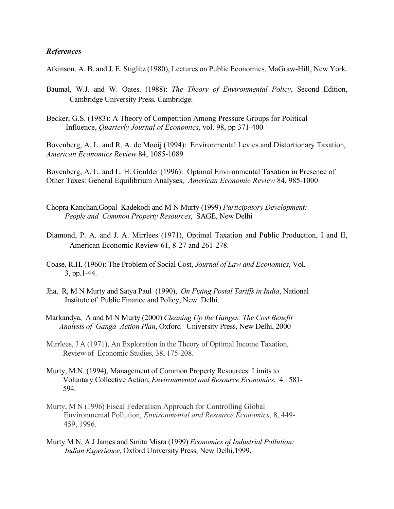## *References*

Atkinson, A. B. and J. E. Stiglitz (1980), Lectures on Public Economics, MaGraw-Hill, New York.

- Baumal, W.J. and W. Oates. (1988): *The Theory of Environmental Policy*, Second Edition, Cambridge University Press. Cambridge.
- Becker, G.S. (1983): A Theory of Competition Among Pressure Groups for Political Influence, *Quarterly Journal of Economics*, vol. 98, pp 371-400

Bovenberg, A. L. and R. A. de Mooij (1994): Environmental Levies and Distortionary Taxation, *American Economics Review* 84, 1085-1089

Bovenberg, A. L. and L. H. Goulder (1996): Optimal Environmental Taxation in Presence of Other Taxes: General Equilibrium Analyses, *American Economic Review* 84, 985-1000

- Chopra Kanchan,Gopal Kadekodi and M N Murty (1999) *Participatory Development: People and Common Property Resources*, SAGE, New Delhi
- Diamond, P. A. and J. A. Mirrlees (1971), Optimal Taxation and Public Production, I and II, American Economic Review 61, 8-27 and 261-278.
- Coase, R.H. (1960): The Problem of Social Cost, *Journal of Law and Economics*, Vol. 3, pp.1-44.
- Jha, R, M N Murty and Satya Paul (1990), *On Fixing Postal Tariffs in India*, National Institute of Public Finance and Policy, New Delhi.
- Markandya, A and M N Murty (2000) *Cleaning Up the Ganges: The Cost Benefit Analysis of Ganga Action Plan*, Oxford University Press, New Delhi, 2000
- Mirrlees, J A (1971), An Exploration in the Theory of Optimal Income Taxation, Review of Economic Studies, 38, 175-208.
- Murty, M.N. (1994), Management of Common Property Resources: Limits to Voluntary Collective Action, *Environmental and Resource Economics*, 4. 581- 594.
- Murty, M N (1996) Fiscal Federalism Approach for Controlling Global Environmental Pollution, *Environmental and Resource Economics*, 8, 449- 459, 1996.
- Murty M N, A.J James and Smita Misra (1999) *Economics of Industrial Pollution: Indian Experience,* Oxford University Press, New Delhi,1999.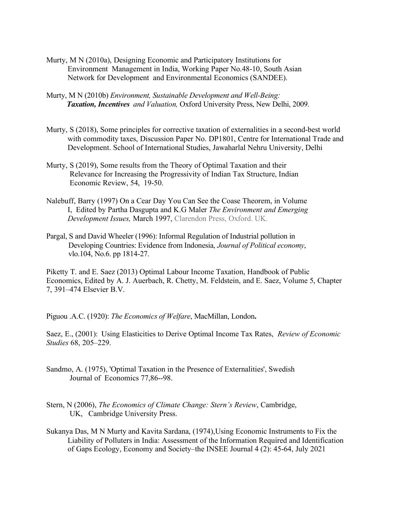- Murty, M N (2010a), Designing Economic and Participatory Institutions for Environment Management in India, Working Paper No.48-10, South Asian Network for Development and Environmental Economics (SANDEE).
- Murty, M N (2010b) *Environment, Sustainable Development and Well-Being: Taxation, Incentives and Valuation,* Oxford University Press, New Delhi, 2009.
- Murty, S (2018), Some principles for corrective taxation of externalities in a second-best world with commodity taxes, Discussion Paper No. DP1801, Centre for International Trade and Development. School of International Studies, Jawaharlal Nehru University, Delhi
- Murty, S (2019), Some results from the Theory of Optimal Taxation and their Relevance for Increasing the Progressivity of Indian Tax Structure, Indian Economic Review, 54, 19-50.
- Nalebuff, Barry (1997) On a Cear Day You Can See the Coase Theorem, in Volume I, Edited by Partha Dasgupta and K.G Maler *The Environment and Emerging Development Issues,* March 1997, Clarendon Press, Oxford. UK.
- Pargal, S and David Wheeler (1996): Informal Regulation of Industrial pollution in Developing Countries: Evidence from Indonesia, *Journal of Political economy*, vlo.104, No.6. pp 1814-27.

Piketty T. and E. Saez (2013) Optimal Labour Income Taxation, Handbook of Public Economics, Edited by A. J. Auerbach, R. Chetty, M. Feldstein, and E. Saez, Volume 5, Chapter 7, 391–474 Elsevier B.V.

Piguou .A.C. (1920): *The Economics of Welfare*, MacMillan, London**.**

Saez, E., (2001): Using Elasticities to Derive Optimal Income Tax Rates, *Review of Economic Studies* 68, 205–229.

- Sandmo, A. (1975), 'Optimal Taxation in the Presence of Externalities', Swedish Journal of Economics 77,86--98.
- Stern, N (2006), *The Economics of Climate Change: Stern's Review*, Cambridge, UK, Cambridge University Press.
- Sukanya Das, M N Murty and Kavita Sardana, (1974),Using Economic Instruments to Fix the Liability of Polluters in India: Assessment of the Information Required and Identification of Gaps Ecology, Economy and Society–the INSEE Journal 4 (2): 45-64, July 2021